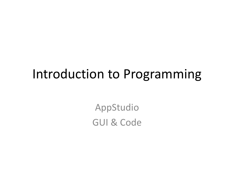### Introduction to Programming

AppStudio GUI & Code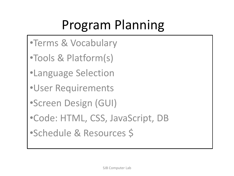# Program Planning

- •Terms & Vocabulary
- •Tools & Platform(s)
- •Language Selection
- •User Requirements
- •Screen Design (GUI)
- •Code: HTML, CSS, JavaScript, DB
- •Schedule & Resources \$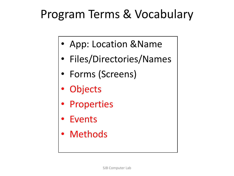### Program Terms & Vocabulary

- App: Location &Name
- Files/Directories/Names
- Forms (Screens)
- **Objects**
- Properties
- **Events**
- Methods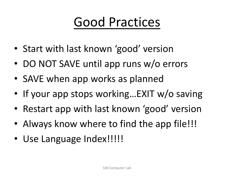# Good Practices

- Start with last known 'good' version
- DO NOT SAVE until app runs w/o errors
- SAVE when app works as planned
- If your app stops working...EXIT w/o saving
- Restart app with last known 'good' version
- Always know where to find the app file!!!
- Use Language Index!!!!!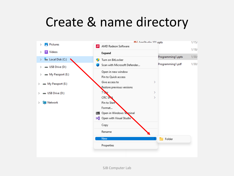## Create & name directory

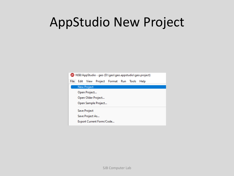# AppStudio New Project

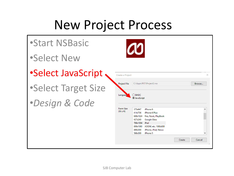## New Project Process

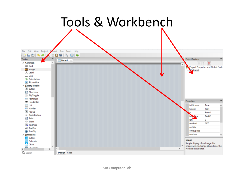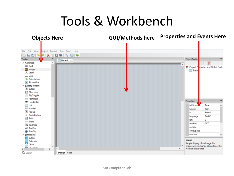# Tools & Workbench

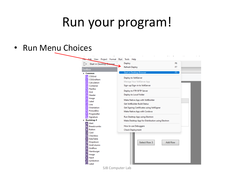#### Run your program!

• Run Menu Choices

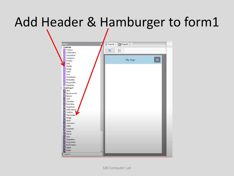# Add Header & Hamburger to form1

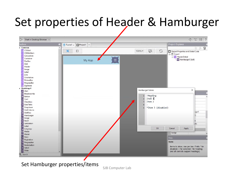### Set properties of Header & Hamburger



#### Set Hamburger properties/items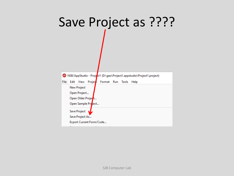# Save Project as ????